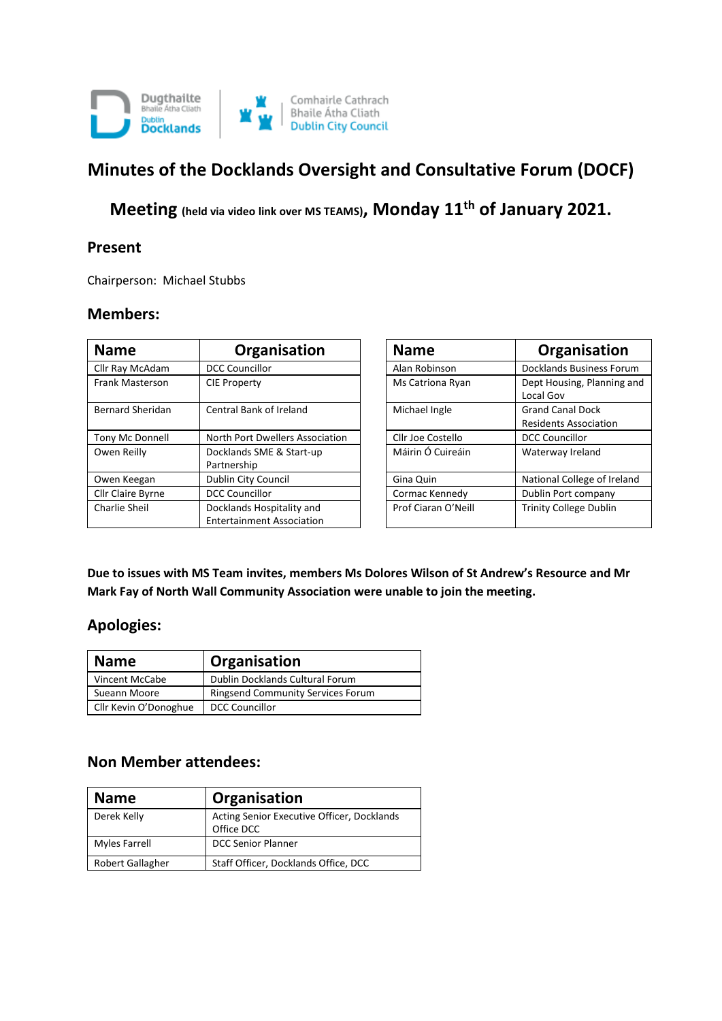

# **Minutes of the Docklands Oversight and Consultative Forum (DOCF)**

**Meeting (held via video link over MS TEAMS), Monday 11th of January 2021.**

#### **Present**

Chairperson: Michael Stubbs

#### **Members:**

| <b>Name</b>             | Organisation                                                  | <b>Name</b>         | Organisation                                            |
|-------------------------|---------------------------------------------------------------|---------------------|---------------------------------------------------------|
| Cllr Ray McAdam         | <b>DCC Councillor</b>                                         | Alan Robinson       | Docklands Business Forum                                |
| Frank Masterson         | <b>CIE Property</b>                                           | Ms Catriona Ryan    | Dept Housing, Planning and<br>Local Gov                 |
| <b>Bernard Sheridan</b> | Central Bank of Ireland                                       | Michael Ingle       | <b>Grand Canal Dock</b><br><b>Residents Association</b> |
| Tony Mc Donnell         | North Port Dwellers Association                               | Cllr Joe Costello   | <b>DCC Councillor</b>                                   |
| Owen Reilly             | Docklands SME & Start-up<br>Partnership                       | Máirin Ó Cuireáin   | Waterway Ireland                                        |
| Owen Keegan             | Dublin City Council                                           | Gina Quin           | National College of Ireland                             |
| Cllr Claire Byrne       | <b>DCC Councillor</b>                                         | Cormac Kennedy      | Dublin Port company                                     |
| Charlie Sheil           | Docklands Hospitality and<br><b>Entertainment Association</b> | Prof Ciaran O'Neill | <b>Trinity College Dublin</b>                           |

| <b>Name</b>         | Organisation                                            |
|---------------------|---------------------------------------------------------|
| Alan Robinson       | <b>Docklands Business Forum</b>                         |
| Ms Catriona Ryan    | Dept Housing, Planning and<br>Local Gov                 |
| Michael Ingle       | <b>Grand Canal Dock</b><br><b>Residents Association</b> |
| Cllr Joe Costello   | <b>DCC Councillor</b>                                   |
| Máirin Ó Cuireáin   | Waterway Ireland                                        |
| Gina Quin           | National College of Ireland                             |
| Cormac Kennedy      | Dublin Port company                                     |
| Prof Ciaran O'Neill | <b>Trinity College Dublin</b>                           |

**Due to issues with MS Team invites, members Ms Dolores Wilson of St Andrew's Resource and Mr Mark Fay of North Wall Community Association were unable to join the meeting.**

### **Apologies:**

| <b>Name</b>           | Organisation                             |
|-----------------------|------------------------------------------|
| Vincent McCabe        | Dublin Docklands Cultural Forum          |
| Sueann Moore          | <b>Ringsend Community Services Forum</b> |
| Cllr Kevin O'Donoghue | DCC Councillor                           |

#### **Non Member attendees:**

| <b>Name</b>      | Organisation                                             |
|------------------|----------------------------------------------------------|
| Derek Kelly      | Acting Senior Executive Officer, Docklands<br>Office DCC |
| Myles Farrell    | <b>DCC Senior Planner</b>                                |
| Robert Gallagher | Staff Officer, Docklands Office, DCC                     |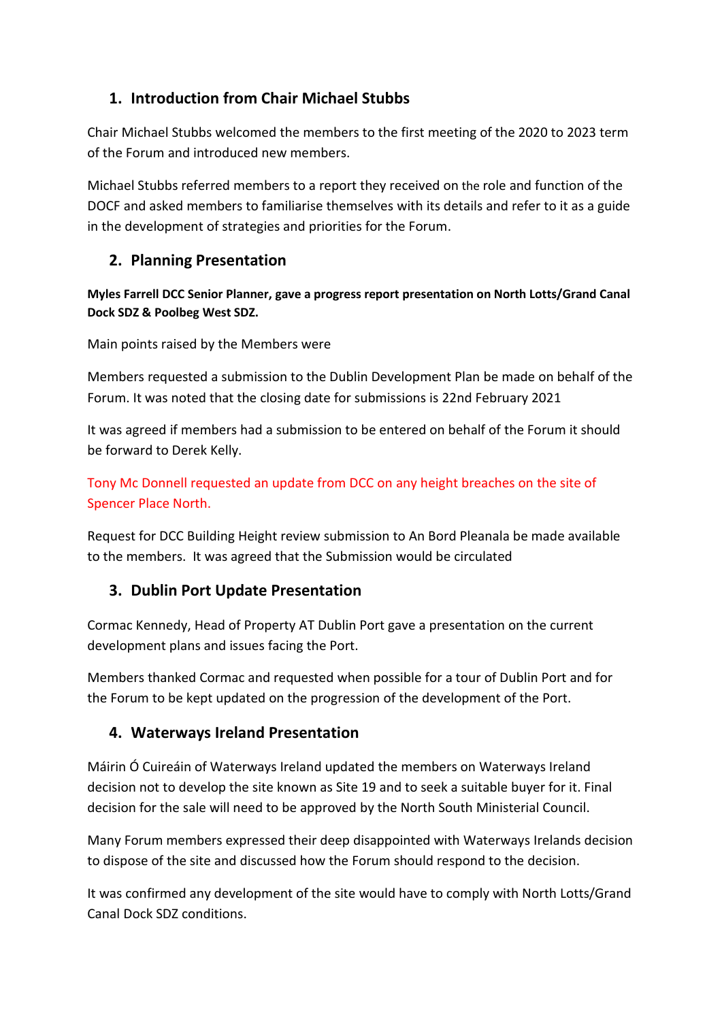# **1. Introduction from Chair Michael Stubbs**

Chair Michael Stubbs welcomed the members to the first meeting of the 2020 to 2023 term of the Forum and introduced new members.

Michael Stubbs referred members to a report they received on the role and function of the DOCF and asked members to familiarise themselves with its details and refer to it as a guide in the development of strategies and priorities for the Forum.

# **2. Planning Presentation**

**Myles Farrell DCC Senior Planner, gave a progress report presentation on North Lotts/Grand Canal Dock SDZ & Poolbeg West SDZ.**

Main points raised by the Members were

Members requested a submission to the Dublin Development Plan be made on behalf of the Forum. It was noted that the closing date for submissions is 22nd February 2021

It was agreed if members had a submission to be entered on behalf of the Forum it should be forward to Derek Kelly.

Tony Mc Donnell requested an update from DCC on any height breaches on the site of Spencer Place North.

Request for DCC Building Height review submission to An Bord Pleanala be made available to the members. It was agreed that the Submission would be circulated

# **3. Dublin Port Update Presentation**

Cormac Kennedy, Head of Property AT Dublin Port gave a presentation on the current development plans and issues facing the Port.

Members thanked Cormac and requested when possible for a tour of Dublin Port and for the Forum to be kept updated on the progression of the development of the Port.

# **4. Waterways Ireland Presentation**

Máirin Ó Cuireáin of Waterways Ireland updated the members on Waterways Ireland decision not to develop the site known as Site 19 and to seek a suitable buyer for it. Final decision for the sale will need to be approved by the North South Ministerial Council.

Many Forum members expressed their deep disappointed with Waterways Irelands decision to dispose of the site and discussed how the Forum should respond to the decision.

It was confirmed any development of the site would have to comply with North Lotts/Grand Canal Dock SDZ conditions.